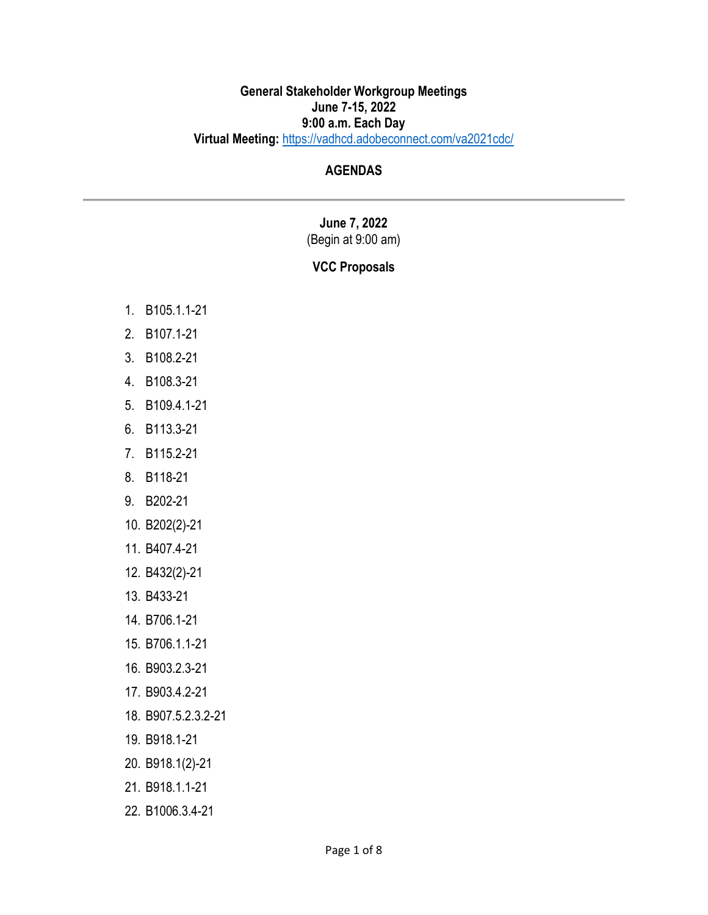#### **General Stakeholder Workgroup Meetings June 7-15, 2022 9:00 a.m. Each Day Virtual Meeting:** <https://vadhcd.adobeconnect.com/va2021cdc/>

### **AGENDAS**

### **June 7, 2022**  (Begin at 9:00 am)

### **VCC Proposals**

- 1. B105.1.1-21
- 2. B107.1-21
- 3. B108.2-21
- 4. B108.3-21
- 5. B109.4.1-21
- 6. B113.3-21
- 7. B115.2-21
- 8. B118-21
- 9. B202-21
- 10. B202(2)-21
- 11. B407.4-21
- 12. B432(2)-21
- 13. B433-21
- 14. B706.1-21
- 15. B706.1.1-21
- 16. B903.2.3-21
- 17. B903.4.2-21
- 18. B907.5.2.3.2-21
- 19. B918.1-21
- 20. B918.1(2)-21
- 21. B918.1.1-21
- 22. B1006.3.4-21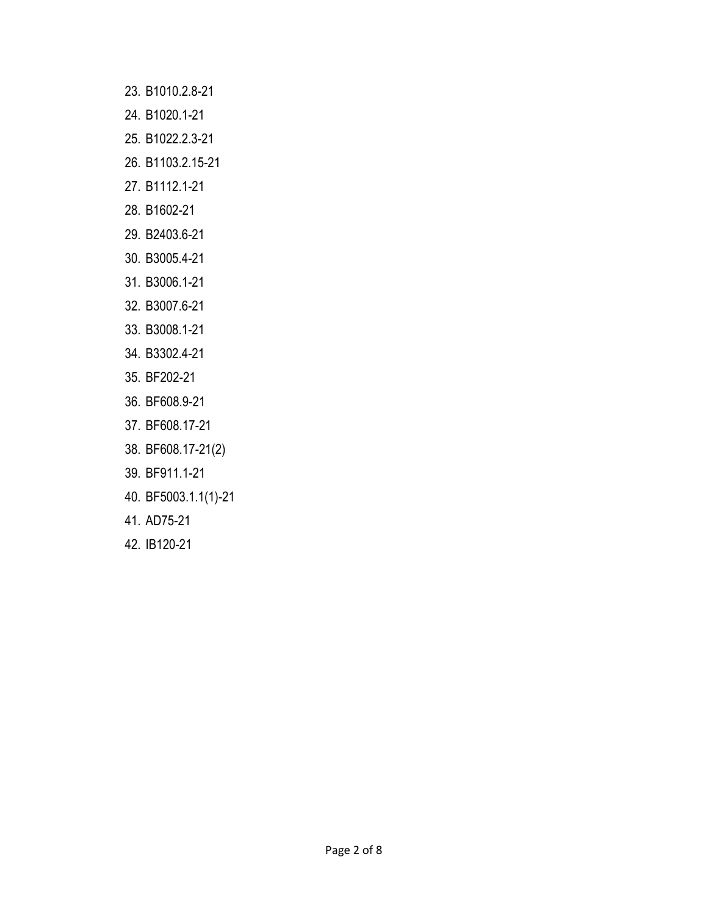- 23. B1010.2.8-21
- 24. B1020.1-21
- 25. B1022.2.3-21
- 26. B1103.2.15-21
- 27. B1112.1-21
- 28. B1602-21
- 29. B2403.6-21
- 30. B3005.4-21
- 31. B3006.1-21
- 32. B3007.6-21
- 33. B3008.1-21
- 34. B3302.4-21
- 35. BF202-21
- 36. BF608.9-21
- 37. BF608.17-21
- 38. BF608.17-21(2)
- 39. BF911.1-21
- 40. BF5003.1.1(1)-21
- 41. AD75-21
- 42. IB120-21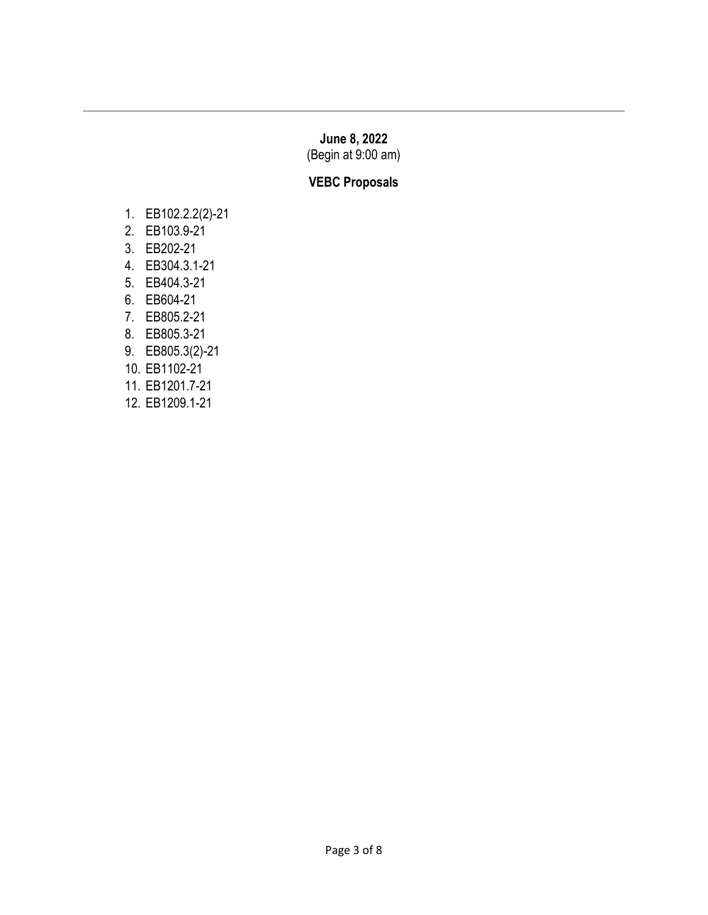## **June 8, 2022** (Begin at 9:00 am)

# **VEBC Proposals**

- 1. EB102.2.2(2)-21
- 2. EB103.9-21
- 3. EB202-21
- 4. EB304.3.1-21
- 5. EB404.3-21
- 6. EB604-21
- 7. EB805.2-21
- 8. EB805.3-21
- 9. EB805.3(2)-21
- 10. EB1102-21
- 11. EB1201.7-21
- 12. EB1209.1-21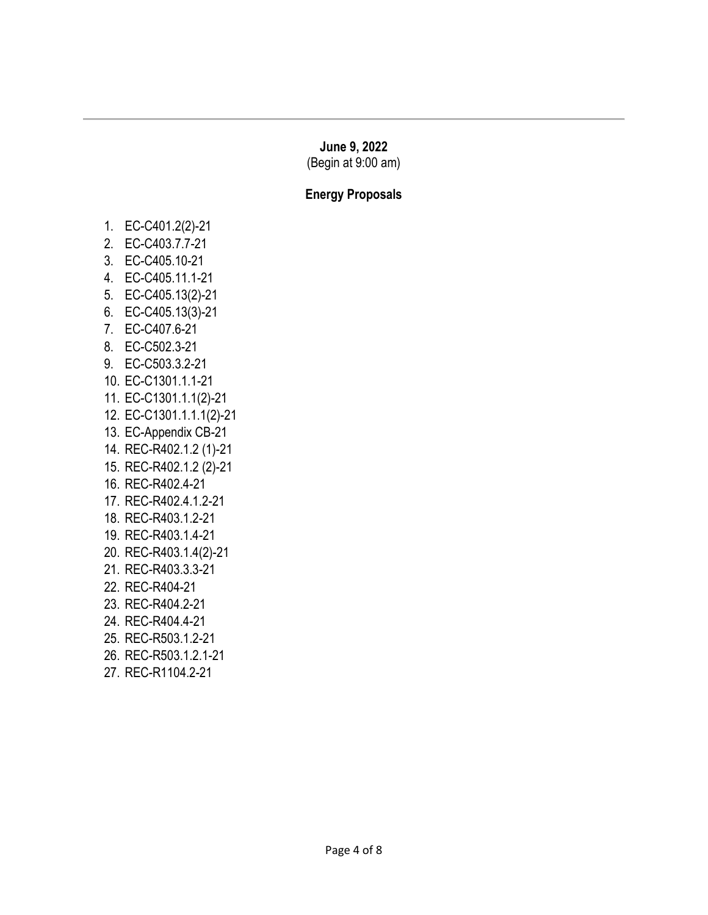## **June 9, 2022**

(Begin at 9:00 am)

### **Energy Proposals**

- 1. EC-C401.2(2)-21
- 2. EC-C403.7.7-21
- 3. EC-C405.10-21
- 4. EC-C405.11.1-21
- 5. EC-C405.13(2)-21
- 6. EC-C405.13(3)-21
- 7. EC-C407.6-21
- 8. EC-C502.3-21
- 9. EC-C503.3.2-21
- 10. EC-C1301.1.1-21
- 11. EC-C1301.1.1(2)-21
- 12. EC-C1301.1.1.1(2)-21
- 13. EC-Appendix CB-21
- 14. REC-R402.1.2 (1)-21
- 15. REC-R402.1.2 (2)-21
- 16. REC-R402.4-21
- 17. REC-R402.4.1.2-21
- 18. REC-R403.1.2-21
- 19. REC-R403.1.4-21
- 20. REC-R403.1.4(2)-21
- 21. REC-R403.3.3-21
- 22. REC-R404-21
- 23. REC-R404.2-21
- 24. REC-R404.4-21
- 25. REC-R503.1.2-21
- 26. REC-R503.1.2.1-21
- 27. REC-R1104.2-21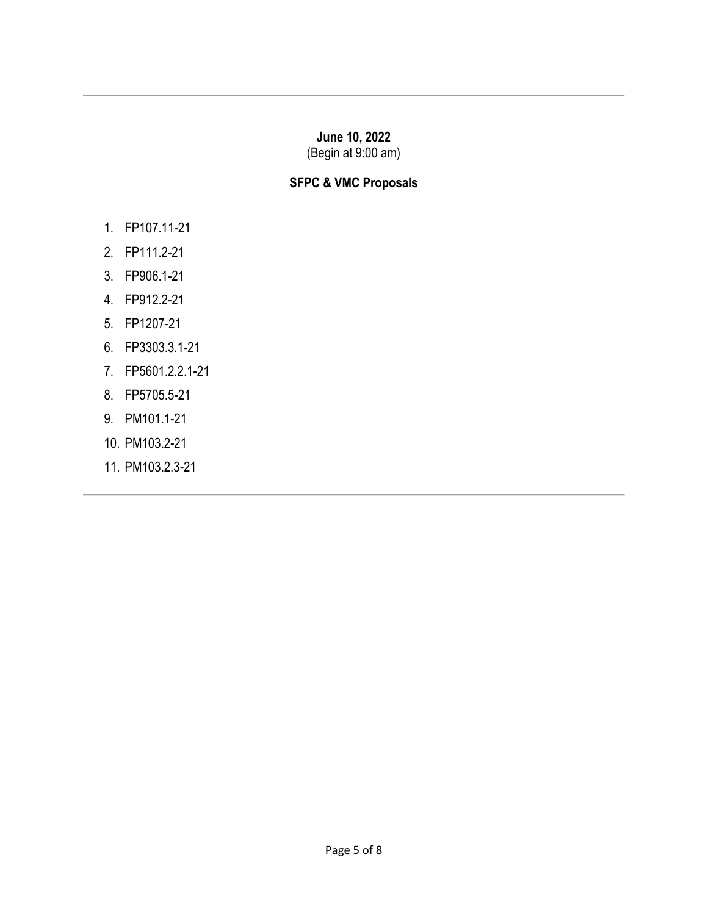# **June 10, 2022**

(Begin at 9:00 am)

## **SFPC & VMC Proposals**

- 1. FP107.11-21
- 2. FP111.2-21
- 3. FP906.1-21
- 4. FP912.2-21
- 5. FP1207-21
- 6. FP3303.3.1-21
- 7. FP5601.2.2.1-21
- 8. FP5705.5-21
- 9. PM101.1-21
- 10. PM103.2-21
- 11. PM103.2.3-21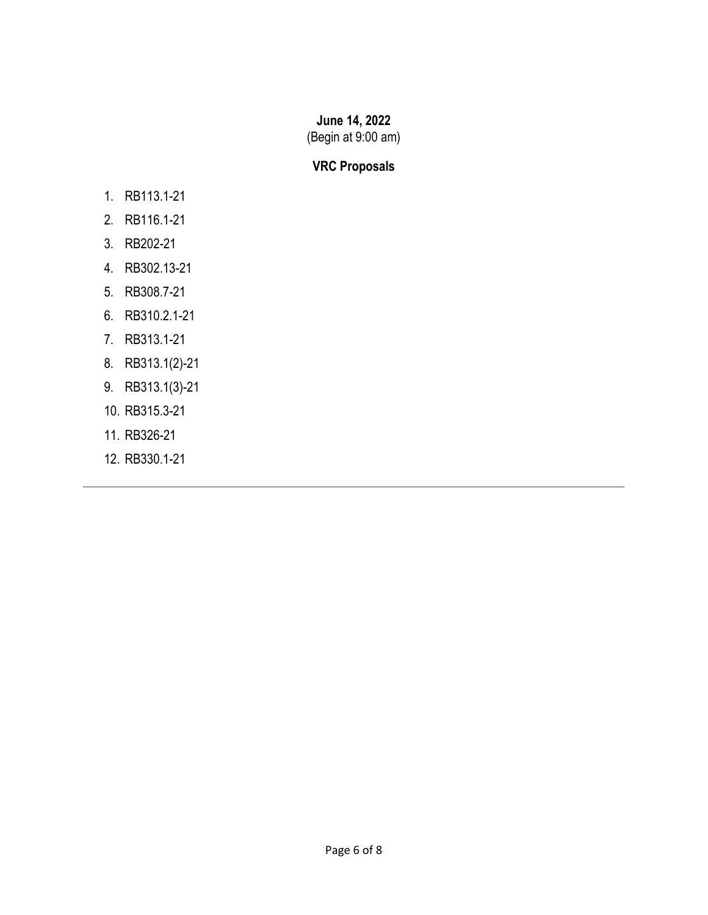## **June 14, 2022**  (Begin at 9:00 am)

## **VRC Proposals**

- 1. RB113.1-21
- 2. RB116.1-21
- 3. RB202-21
- 4. RB302.13-21
- 5. RB308.7-21
- 6. RB310.2.1-21
- 7. RB313.1-21
- 8. RB313.1(2)-21
- 9. RB313.1(3)-21
- 10. RB315.3-21
- 11. RB326-21
- 12. RB330.1-21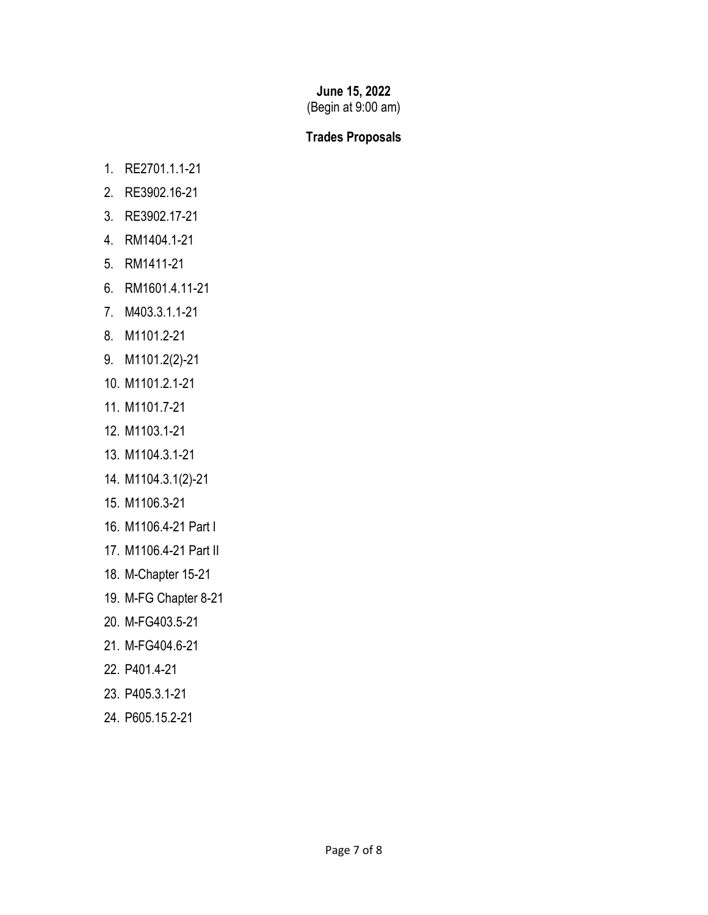#### **June 15, 2022**  (Begin at 9:00 am)

## **Trades Proposals**

- 1. RE2701.1.1-21
- 2. RE3902.16-21
- 3. RE3902.17-21
- 4. RM1404.1-21
- 5. RM1411-21
- 6. RM1601.4.11-21
- 7. M403.3.1.1-21
- 8. M1101.2-21
- 9. M1101.2(2)-21
- 10. M1101.2.1-21
- 11. M1101.7-21
- 12. M1103.1-21
- 13. M1104.3.1-21
- 14. M1104.3.1(2)-21
- 15. M1106.3-21
- 16. M1106.4-21 Part I
- 17. M1106.4-21 Part II
- 18. M-Chapter 15-21
- 19. M-FG Chapter 8-21
- 20. M-FG403.5-21
- 21. M-FG404.6-21
- 22. P401.4-21
- 23. P405.3.1-21
- 24. P605.15.2-21